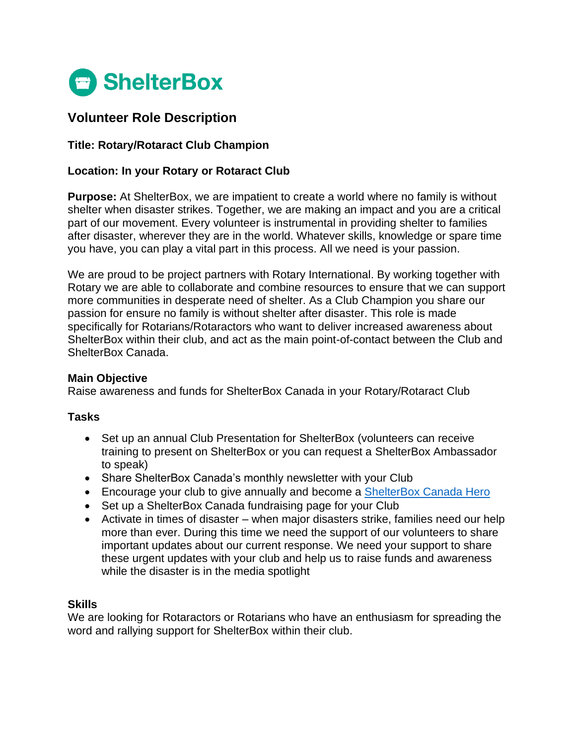

# **Volunteer Role Description**

## **Title: Rotary/Rotaract Club Champion**

#### **Location: In your Rotary or Rotaract Club**

**Purpose:** At ShelterBox, we are impatient to create a world where no family is without shelter when disaster strikes. Together, we are making an impact and you are a critical part of our movement. Every volunteer is instrumental in providing shelter to families after disaster, wherever they are in the world. Whatever skills, knowledge or spare time you have, you can play a vital part in this process. All we need is your passion.

We are proud to be project partners with Rotary International. By working together with Rotary we are able to collaborate and combine resources to ensure that we can support more communities in desperate need of shelter. As a Club Champion you share our passion for ensure no family is without shelter after disaster. This role is made specifically for Rotarians/Rotaractors who want to deliver increased awareness about ShelterBox within their club, and act as the main point-of-contact between the Club and ShelterBox Canada.

#### **Main Objective**

Raise awareness and funds for ShelterBox Canada in your Rotary/Rotaract Club

#### **Tasks**

- Set up an annual Club Presentation for ShelterBox (volunteers can receive training to present on ShelterBox or you can request a ShelterBox Ambassador to speak)
- Share ShelterBox Canada's monthly newsletter with your Club
- Encourage your club to give annually and become a [ShelterBox Canada Hero](https://www.shelterboxcanada.org/hero/)
- Set up a ShelterBox Canada fundraising page for your Club
- Activate in times of disaster when major disasters strike, families need our help more than ever. During this time we need the support of our volunteers to share important updates about our current response. We need your support to share these urgent updates with your club and help us to raise funds and awareness while the disaster is in the media spotlight

## **Skills**

We are looking for Rotaractors or Rotarians who have an enthusiasm for spreading the word and rallying support for ShelterBox within their club.